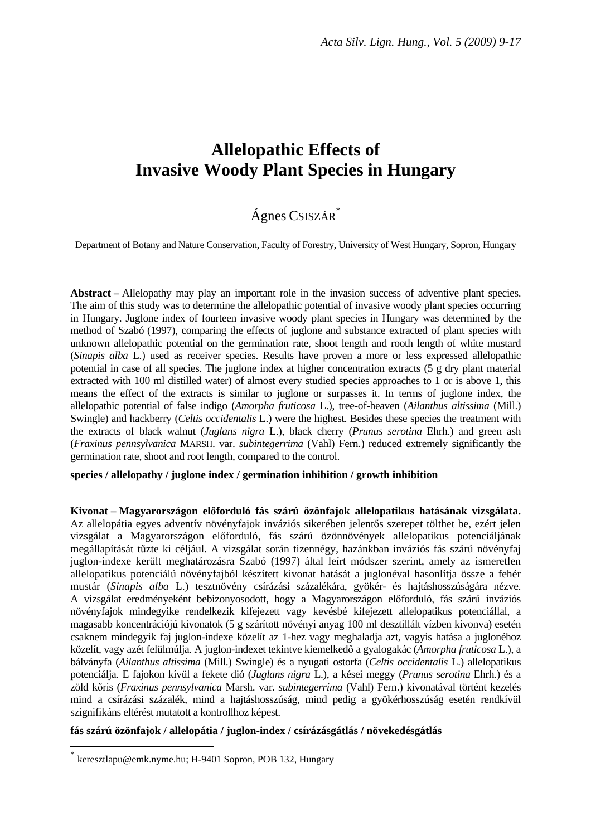# **Allelopathic Effects of Invasive Woody Plant Species in Hungary**

## Ágnes CSISZÁR\*

Department of Botany and Nature Conservation, Faculty of Forestry, University of West Hungary, Sopron, Hungary

**Abstract –** Allelopathy may play an important role in the invasion success of adventive plant species. The aim of this study was to determine the allelopathic potential of invasive woody plant species occurring in Hungary. Juglone index of fourteen invasive woody plant species in Hungary was determined by the method of Szabó (1997), comparing the effects of juglone and substance extracted of plant species with unknown allelopathic potential on the germination rate, shoot length and rooth length of white mustard (*Sinapis alba* L.) used as receiver species. Results have proven a more or less expressed allelopathic potential in case of all species. The juglone index at higher concentration extracts (5 g dry plant material extracted with 100 ml distilled water) of almost every studied species approaches to 1 or is above 1, this means the effect of the extracts is similar to juglone or surpasses it. In terms of juglone index, the allelopathic potential of false indigo (*Amorpha fruticosa* L.), tree-of-heaven (*Ailanthus altissima* (Mill.) Swingle) and hackberry (*Celtis occidentalis* L.) were the highest. Besides these species the treatment with the extracts of black walnut (*Juglans nigra* L.), black cherry (*Prunus serotina* Ehrh.) and green ash (*Fraxinus pennsylvanica* MARSH. var. *subintegerrima* (Vahl) Fern.) reduced extremely significantly the germination rate, shoot and root length, compared to the control.

#### **species / allelopathy / juglone index / germination inhibition / growth inhibition**

**Kivonat – Magyarországon el**ő**forduló fás szárú özönfajok allelopatikus hatásának vizsgálata.**  Az allelopátia egyes adventív növényfajok inváziós sikerében jelentős szerepet tölthet be, ezért jelen vizsgálat a Magyarországon előforduló, fás szárú özönnövények allelopatikus potenciáljának megállapítását tűzte ki céljául. A vizsgálat során tizennégy, hazánkban inváziós fás szárú növényfaj juglon-indexe került meghatározásra Szabó (1997) által leírt módszer szerint, amely az ismeretlen allelopatikus potenciálú növényfajból készített kivonat hatását a juglonéval hasonlítja össze a fehér mustár (*Sinapis alba* L.) tesztnövény csírázási százalékára, gyökér- és hajtáshosszúságára nézve. A vizsgálat eredményeként bebizonyosodott, hogy a Magyarországon előforduló, fás szárú inváziós növényfajok mindegyike rendelkezik kifejezett vagy kevésbé kifejezett allelopatikus potenciállal, a magasabb koncentrációjú kivonatok (5 g szárított növényi anyag 100 ml desztillált vízben kivonva) esetén csaknem mindegyik faj juglon-indexe közelít az 1-hez vagy meghaladja azt, vagyis hatása a juglonéhoz közelít, vagy azét felülmúlja. A juglon-indexet tekintve kiemelkedő a gyalogakác (*Amorpha fruticosa* L.), a bálványfa (*Ailanthus altissima* (Mill.) Swingle) és a nyugati ostorfa (*Celtis occidentalis* L.) allelopatikus potenciálja. E fajokon kívül a fekete dió (*Juglans nigra* L.), a kései meggy (*Prunus serotina* Ehrh.) és a zöld kőris (*Fraxinus pennsylvanica* Marsh. var. *subintegerrima* (Vahl) Fern.) kivonatával történt kezelés mind a csírázási százalék, mind a hajtáshosszúság, mind pedig a gyökérhosszúság esetén rendkívül szignifikáns eltérést mutatott a kontrollhoz képest.

#### **fás szárú özönfajok / allelopátia / juglon-index / csírázásgátlás / növekedésgátlás**

 $\overline{a}$ 

<sup>\*</sup> keresztlapu@emk.nyme.hu; H-9401 Sopron, POB 132, Hungary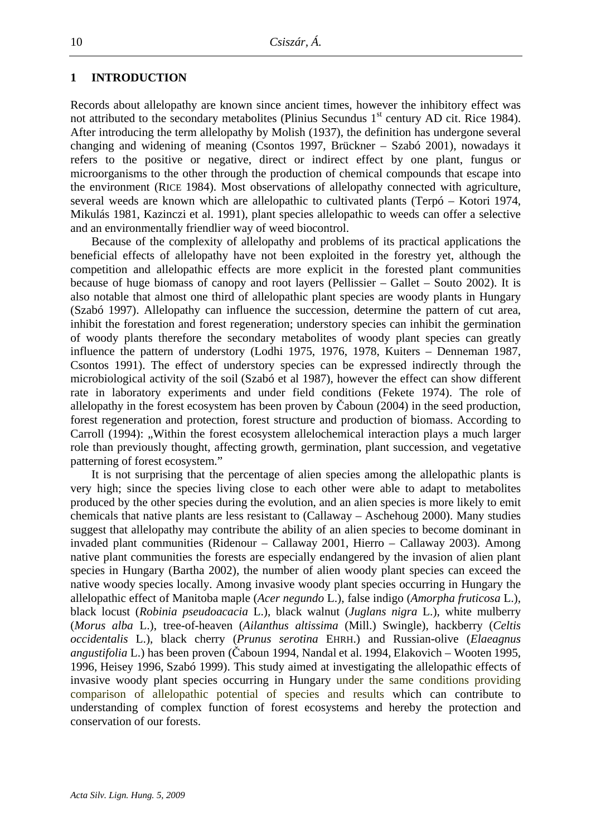#### **1 INTRODUCTION**

Records about allelopathy are known since ancient times, however the inhibitory effect was not attributed to the secondary metabolites (Plinius Secundus  $1<sup>st</sup>$  century AD cit. Rice 1984). After introducing the term allelopathy by Molish (1937), the definition has undergone several changing and widening of meaning (Csontos 1997, Brückner – Szabó 2001), nowadays it refers to the positive or negative, direct or indirect effect by one plant, fungus or microorganisms to the other through the production of chemical compounds that escape into the environment (RICE 1984). Most observations of allelopathy connected with agriculture, several weeds are known which are allelopathic to cultivated plants (Terpó – Kotori 1974, Mikulás 1981, Kazinczi et al. 1991), plant species allelopathic to weeds can offer a selective and an environmentally friendlier way of weed biocontrol.

Because of the complexity of allelopathy and problems of its practical applications the beneficial effects of allelopathy have not been exploited in the forestry yet, although the competition and allelopathic effects are more explicit in the forested plant communities because of huge biomass of canopy and root layers (Pellissier – Gallet – Souto 2002). It is also notable that almost one third of allelopathic plant species are woody plants in Hungary (Szabó 1997). Allelopathy can influence the succession, determine the pattern of cut area, inhibit the forestation and forest regeneration; understory species can inhibit the germination of woody plants therefore the secondary metabolites of woody plant species can greatly influence the pattern of understory (Lodhi 1975, 1976, 1978, Kuiters – Denneman 1987, Csontos 1991). The effect of understory species can be expressed indirectly through the microbiological activity of the soil (Szabó et al 1987), however the effect can show different rate in laboratory experiments and under field conditions (Fekete 1974). The role of allelopathy in the forest ecosystem has been proven by Čaboun (2004) in the seed production, forest regeneration and protection, forest structure and production of biomass. According to Carroll (1994): "Within the forest ecosystem allelochemical interaction plays a much larger role than previously thought, affecting growth, germination, plant succession, and vegetative patterning of forest ecosystem."

It is not surprising that the percentage of alien species among the allelopathic plants is very high; since the species living close to each other were able to adapt to metabolites produced by the other species during the evolution, and an alien species is more likely to emit chemicals that native plants are less resistant to (Callaway – Aschehoug 2000). Many studies suggest that allelopathy may contribute the ability of an alien species to become dominant in invaded plant communities (Ridenour – Callaway 2001, Hierro – Callaway 2003). Among native plant communities the forests are especially endangered by the invasion of alien plant species in Hungary (Bartha 2002), the number of alien woody plant species can exceed the native woody species locally. Among invasive woody plant species occurring in Hungary the allelopathic effect of Manitoba maple (*Acer negundo* L.), false indigo (*Amorpha fruticosa* L.), black locust (*Robinia pseudoacacia* L.), black walnut (*Juglans nigra* L.), white mulberry (*Morus alba* L.), tree-of-heaven (*Ailanthus altissima* (Mill.) Swingle), hackberry (*Celtis occidentalis* L.), black cherry (*Prunus serotina* EHRH.) and Russian-olive (*Elaeagnus angustifolia* L.) has been proven (Čaboun 1994, Nandal et al. 1994, Elakovich – Wooten 1995, 1996, Heisey 1996, Szabó 1999). This study aimed at investigating the allelopathic effects of invasive woody plant species occurring in Hungary under the same conditions providing comparison of allelopathic potential of species and results which can contribute to understanding of complex function of forest ecosystems and hereby the protection and conservation of our forests.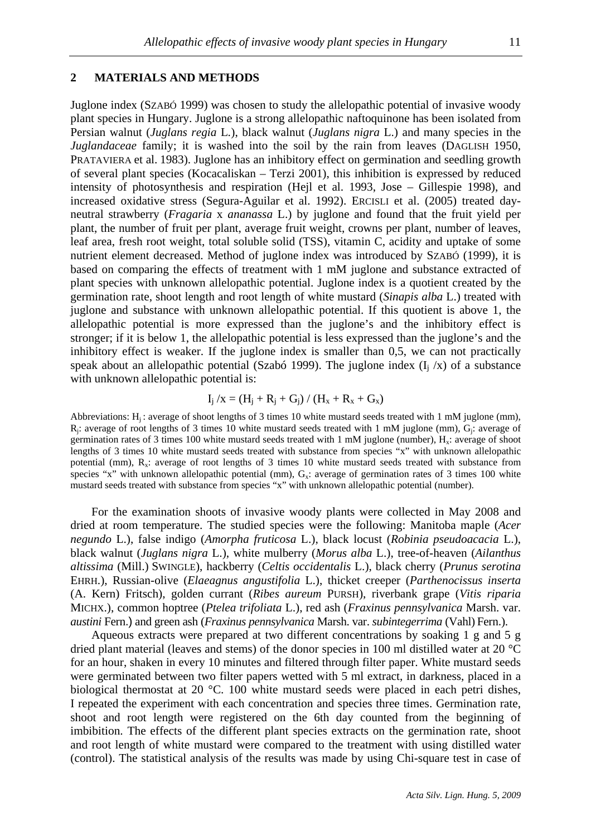#### **2 MATERIALS AND METHODS**

Juglone index (SZABÓ 1999) was chosen to study the allelopathic potential of invasive woody plant species in Hungary. Juglone is a strong allelopathic naftoquinone has been isolated from Persian walnut (*Juglans regia* L*.*), black walnut (*Juglans nigra* L.) and many species in the *Juglandaceae* family; it is washed into the soil by the rain from leaves (DAGLISH 1950, PRATAVIERA et al. 1983). Juglone has an inhibitory effect on germination and seedling growth of several plant species (Kocacaliskan – Terzi 2001), this inhibition is expressed by reduced intensity of photosynthesis and respiration (Hejl et al. 1993, Jose – Gillespie 1998), and increased oxidative stress (Segura-Aguilar et al. 1992). ERCISLI et al. (2005) treated dayneutral strawberry (*Fragaria* x *ananassa* L.) by juglone and found that the fruit yield per plant, the number of fruit per plant, average fruit weight, crowns per plant, number of leaves, leaf area, fresh root weight, total soluble solid (TSS), vitamin C, acidity and uptake of some nutrient element decreased. Method of juglone index was introduced by SZABÓ (1999), it is based on comparing the effects of treatment with 1 mM juglone and substance extracted of plant species with unknown allelopathic potential. Juglone index is a quotient created by the germination rate, shoot length and root length of white mustard (*Sinapis alba* L.) treated with juglone and substance with unknown allelopathic potential. If this quotient is above 1, the allelopathic potential is more expressed than the juglone's and the inhibitory effect is stronger; if it is below 1, the allelopathic potential is less expressed than the juglone's and the inhibitory effect is weaker. If the juglone index is smaller than 0,5, we can not practically speak about an allelopathic potential (Szabó 1999). The juglone index  $(I_i / x)$  of a substance with unknown allelopathic potential is:

$$
I_j / x = (H_j + R_j + G_j) / (H_x + R_x + G_x)
$$

Abbreviations:  $H_i$ : average of shoot lengths of 3 times 10 white mustard seeds treated with 1 mM juglone (mm),  $R_j$ : average of root lengths of 3 times 10 white mustard seeds treated with 1 mM juglone (mm),  $G_j$ : average of germination rates of 3 times 100 white mustard seeds treated with 1 mM juglone (number),  $H_x$ : average of shoot lengths of 3 times 10 white mustard seeds treated with substance from species "x" with unknown allelopathic potential (mm),  $R_x$ : average of root lengths of 3 times 10 white mustard seeds treated with substance from species "x" with unknown allelopathic potential (mm),  $G_x$ : average of germination rates of 3 times 100 white mustard seeds treated with substance from species "x" with unknown allelopathic potential (number).

For the examination shoots of invasive woody plants were collected in May 2008 and dried at room temperature. The studied species were the following: Manitoba maple (*Acer negundo* L.), false indigo (*Amorpha fruticosa* L.), black locust (*Robinia pseudoacacia* L.), black walnut (*Juglans nigra* L.), white mulberry (*Morus alba* L.), tree-of-heaven (*Ailanthus altissima* (Mill.) SWINGLE), hackberry (*Celtis occidentalis* L.), black cherry (*Prunus serotina*  EHRH.), Russian-olive (*Elaeagnus angustifolia* L.), thicket creeper (*Parthenocissus inserta* (A. Kern) Fritsch), golden currant (*Ribes aureum* PURSH), riverbank grape (*Vitis riparia* MICHX.), common hoptree (*Ptelea trifoliata* L.), red ash (*Fraxinus pennsylvanica* Marsh. var. *austini* Fern.) and green ash (*Fraxinus pennsylvanica* Marsh. var. *subintegerrima* (Vahl) Fern.).

Aqueous extracts were prepared at two different concentrations by soaking 1 g and 5 g dried plant material (leaves and stems) of the donor species in 100 ml distilled water at 20 °C for an hour, shaken in every 10 minutes and filtered through filter paper. White mustard seeds were germinated between two filter papers wetted with 5 ml extract, in darkness, placed in a biological thermostat at 20 °C. 100 white mustard seeds were placed in each petri dishes, I repeated the experiment with each concentration and species three times. Germination rate, shoot and root length were registered on the 6th day counted from the beginning of imbibition. The effects of the different plant species extracts on the germination rate, shoot and root length of white mustard were compared to the treatment with using distilled water (control). The statistical analysis of the results was made by using Chi-square test in case of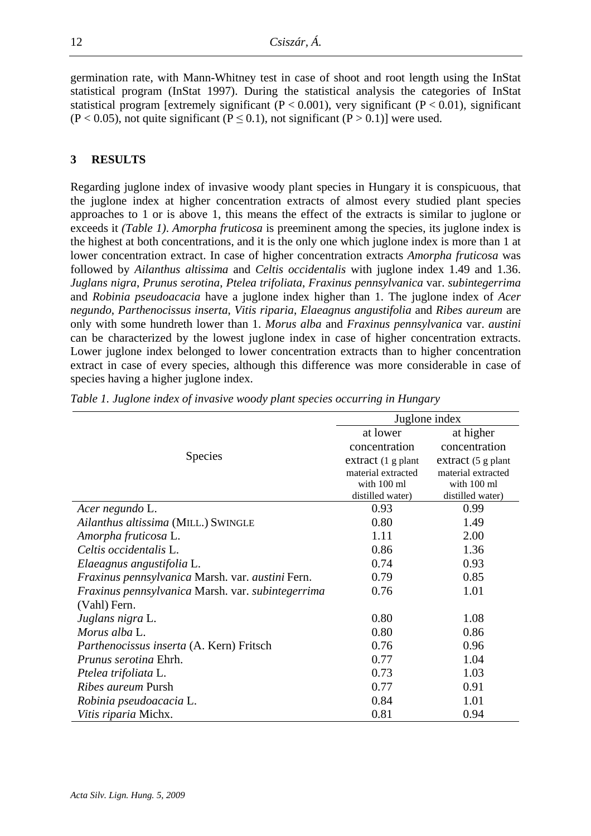germination rate, with Mann-Whitney test in case of shoot and root length using the InStat statistical program (InStat 1997). During the statistical analysis the categories of InStat statistical program [extremely significant  $(P < 0.001)$ , very significant  $(P < 0.01)$ , significant  $(P < 0.05)$ , not quite significant  $(P \le 0.1)$ , not significant  $(P > 0.1)$  were used.

### **3 RESULTS**

Regarding juglone index of invasive woody plant species in Hungary it is conspicuous, that the juglone index at higher concentration extracts of almost every studied plant species approaches to 1 or is above 1, this means the effect of the extracts is similar to juglone or exceeds it *(Table 1)*. *Amorpha fruticosa* is preeminent among the species, its juglone index is the highest at both concentrations, and it is the only one which juglone index is more than 1 at lower concentration extract. In case of higher concentration extracts *Amorpha fruticosa* was followed by *Ailanthus altissima* and *Celtis occidentalis* with juglone index 1.49 and 1.36. *Juglans nigra*, *Prunus serotina*, *Ptelea trifoliata*, *Fraxinus pennsylvanica* var. *subintegerrima* and *Robinia pseudoacacia* have a juglone index higher than 1. The juglone index of *Acer negundo*, *Parthenocissus inserta*, *Vitis riparia*, *Elaeagnus angustifolia* and *Ribes aureum* are only with some hundreth lower than 1. *Morus alba* and *Fraxinus pennsylvanica* var. *austini* can be characterized by the lowest juglone index in case of higher concentration extracts. Lower juglone index belonged to lower concentration extracts than to higher concentration extract in case of every species, although this difference was more considerable in case of species having a higher juglone index.

|                                                   | Juglone index      |                    |  |
|---------------------------------------------------|--------------------|--------------------|--|
|                                                   | at lower           | at higher          |  |
| <b>Species</b>                                    | concentration      | concentration      |  |
|                                                   | extract (1 g plant | extract (5 g plant |  |
|                                                   | material extracted | material extracted |  |
|                                                   | with 100 ml        | with 100 ml        |  |
|                                                   | distilled water)   | distilled water)   |  |
| Acer negundo L.                                   | 0.93               | 0.99               |  |
| Ailanthus altissima (MILL.) SWINGLE               | 0.80               | 1.49               |  |
| Amorpha fruticosa L.                              | 1.11               | 2.00               |  |
| Celtis occidentalis L.                            | 0.86               | 1.36               |  |
| Elaeagnus angustifolia L.                         | 0.74               | 0.93               |  |
| Fraxinus pennsylvanica Marsh. var. austini Fern.  | 0.79               | 0.85               |  |
| Fraxinus pennsylvanica Marsh. var. subintegerrima | 0.76               | 1.01               |  |
| (Vahl) Fern.                                      |                    |                    |  |
| Juglans nigra L.                                  | 0.80               | 1.08               |  |
| Morus alba L.                                     | 0.80               | 0.86               |  |
| Parthenocissus inserta (A. Kern) Fritsch          | 0.76               | 0.96               |  |
| Prunus serotina Ehrh.                             | 0.77               | 1.04               |  |
| Ptelea trifoliata L.                              | 0.73               | 1.03               |  |
| <i>Ribes aureum</i> Pursh                         | 0.77               | 0.91               |  |
| Robinia pseudoacacia L.                           | 0.84               | 1.01               |  |
| Vitis riparia Michx.                              | 0.81               | 0.94               |  |

*Table 1. Juglone index of invasive woody plant species occurring in Hungary*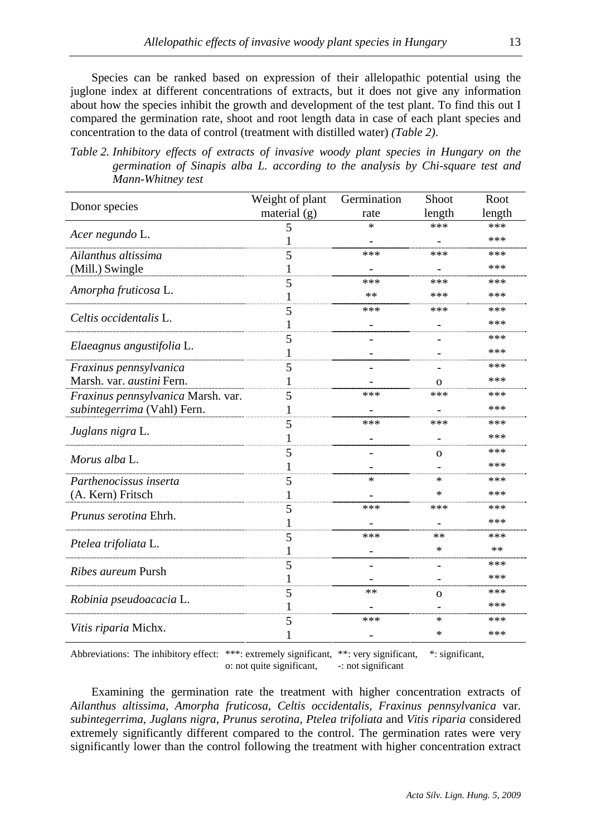Species can be ranked based on expression of their allelopathic potential using the juglone index at different concentrations of extracts, but it does not give any information about how the species inhibit the growth and development of the test plant. To find this out I compared the germination rate, shoot and root length data in case of each plant species and concentration to the data of control (treatment with distilled water) *(Table 2)*.

*Table 2. Inhibitory effects of extracts of invasive woody plant species in Hungary on the germination of Sinapis alba L. according to the analysis by Chi-square test and Mann-Whitney test* 

| Donor species                                                         | Weight of plant | Germination | Shoot        | Root   |
|-----------------------------------------------------------------------|-----------------|-------------|--------------|--------|
|                                                                       | material $(g)$  | rate        | length       | length |
| Acer negundo L.                                                       | 5               | ×           | ***          | ***    |
|                                                                       | 1               |             |              | ***    |
| Ailanthus altissima                                                   | 5               | ***         | ***          | ***    |
| (Mill.) Swingle                                                       | 1               |             |              | ***    |
| Amorpha fruticosa L.                                                  | 5               | ***         | ***          | ***    |
|                                                                       |                 | **          | ***          | ***    |
| Celtis occidentalis L.                                                | 5               | ***         | ***          | ***    |
|                                                                       |                 |             |              | ***    |
| Elaeagnus angustifolia L.                                             | 5               |             |              | ***    |
|                                                                       | 1               |             |              | ***    |
| Fraxinus pennsylvanica                                                | 5               |             |              | ***    |
| Marsh. var. austini Fern.                                             |                 |             | Ω            | ***    |
| Fraxinus pennsylvanica Marsh. var.                                    | 5               | ***         | ***          | ***    |
| subintegerrima (Vahl) Fern.                                           | 1               |             |              | ***    |
| Juglans nigra L.                                                      | 5               | ***         | ***          | ***    |
|                                                                       |                 |             |              | ***    |
| Morus alba L.                                                         | 5               |             | $\mathbf{O}$ | ***    |
|                                                                       |                 |             |              | ***    |
| Parthenocissus inserta                                                | 5               | *           | $\ast$       | ***    |
| (A. Kern) Fritsch                                                     | 1               |             | *            | ***    |
| Prunus serotina Ehrh.                                                 | 5               | ***         | ***          | ***    |
|                                                                       | 1               |             |              | ***    |
| Ptelea trifoliata L.                                                  | 5               | ***         | **           | ***    |
|                                                                       | 1               |             | ∗            | **     |
| Ribes aureum Pursh<br>Robinia pseudoacacia L.<br>Vitis riparia Michx. | 5               |             |              | ***    |
|                                                                       | 1               |             |              | ***    |
|                                                                       | 5               | **          |              | ***    |
|                                                                       |                 |             | $\mathbf{O}$ | ***    |
|                                                                       |                 | ***         | ∗            | ***    |
|                                                                       | 5               |             | ∗            | ***    |
|                                                                       |                 |             |              |        |

Abbreviations: The inhibitory effect: \*\*\*: extremely significant, \*\*: very significant, \*: significant, o: not quite significant, -: not significant o: not quite significant,

Examining the germination rate the treatment with higher concentration extracts of *Ailanthus altissima, Amorpha fruticosa, Celtis occidentalis, Fraxinus pennsylvanica* var. *subintegerrima, Juglans nigra*, *Prunus serotina*, *Ptelea trifoliata* and *Vitis riparia* considered extremely significantly different compared to the control. The germination rates were very significantly lower than the control following the treatment with higher concentration extract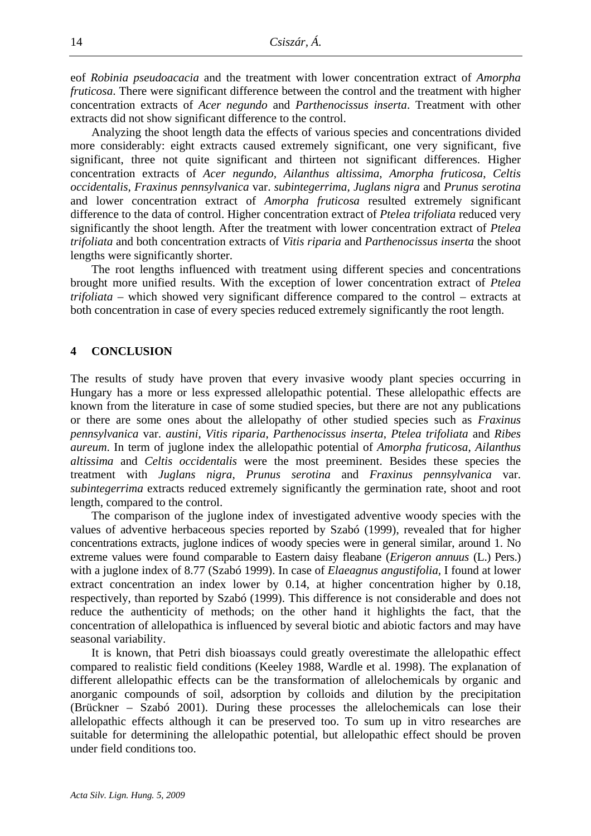eof *Robinia pseudoacacia* and the treatment with lower concentration extract of *Amorpha fruticosa*. There were significant difference between the control and the treatment with higher concentration extracts of *Acer negundo* and *Parthenocissus inserta*. Treatment with other extracts did not show significant difference to the control.

Analyzing the shoot length data the effects of various species and concentrations divided more considerably: eight extracts caused extremely significant, one very significant, five significant, three not quite significant and thirteen not significant differences. Higher concentration extracts of *Acer negundo, Ailanthus altissima, Amorpha fruticosa*, *Celtis occidentalis, Fraxinus pennsylvanica* var. *subintegerrima, Juglans nigra* and *Prunus serotina* and lower concentration extract of *Amorpha fruticosa* resulted extremely significant difference to the data of control. Higher concentration extract of *Ptelea trifoliata* reduced very significantly the shoot length. After the treatment with lower concentration extract of *Ptelea trifoliata* and both concentration extracts of *Vitis riparia* and *Parthenocissus inserta* the shoot lengths were significantly shorter.

The root lengths influenced with treatment using different species and concentrations brought more unified results. With the exception of lower concentration extract of *Ptelea trifoliata* – which showed very significant difference compared to the control – extracts at both concentration in case of every species reduced extremely significantly the root length.

#### **4 CONCLUSION**

The results of study have proven that every invasive woody plant species occurring in Hungary has a more or less expressed allelopathic potential. These allelopathic effects are known from the literature in case of some studied species, but there are not any publications or there are some ones about the allelopathy of other studied species such as *Fraxinus pennsylvanica* var. *austini*, *Vitis riparia*, *Parthenocissus inserta*, *Ptelea trifoliata* and *Ribes aureum*. In term of juglone index the allelopathic potential of *Amorpha fruticosa*, *Ailanthus altissima* and *Celtis occidentalis* were the most preeminent. Besides these species the treatment with *Juglans nigra*, *Prunus serotina* and *Fraxinus pennsylvanica* var. *subintegerrima* extracts reduced extremely significantly the germination rate, shoot and root length, compared to the control.

The comparison of the juglone index of investigated adventive woody species with the values of adventive herbaceous species reported by Szabó (1999), revealed that for higher concentrations extracts, juglone indices of woody species were in general similar, around 1. No extreme values were found comparable to Eastern daisy fleabane (*Erigeron annuus* (L.) Pers.) with a juglone index of 8.77 (Szabó 1999). In case of *Elaeagnus angustifolia,* I found at lower extract concentration an index lower by 0.14, at higher concentration higher by 0.18, respectively, than reported by Szabó (1999). This difference is not considerable and does not reduce the authenticity of methods; on the other hand it highlights the fact, that the concentration of allelopathica is influenced by several biotic and abiotic factors and may have seasonal variability.

It is known, that Petri dish bioassays could greatly overestimate the allelopathic effect compared to realistic field conditions (Keeley 1988, Wardle et al. 1998). The explanation of different allelopathic effects can be the transformation of allelochemicals by organic and anorganic compounds of soil, adsorption by colloids and dilution by the precipitation (Brückner – Szabó 2001). During these processes the allelochemicals can lose their allelopathic effects although it can be preserved too. To sum up in vitro researches are suitable for determining the allelopathic potential, but allelopathic effect should be proven under field conditions too.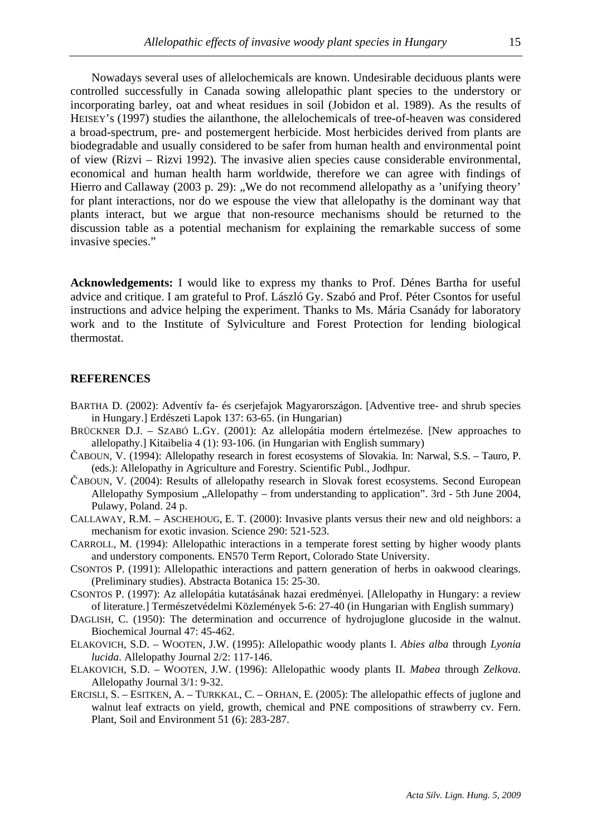Nowadays several uses of allelochemicals are known. Undesirable deciduous plants were controlled successfully in Canada sowing allelopathic plant species to the understory or incorporating barley, oat and wheat residues in soil (Jobidon et al. 1989). As the results of HEISEY's (1997) studies the ailanthone, the allelochemicals of tree-of-heaven was considered a broad-spectrum, pre- and postemergent herbicide. Most herbicides derived from plants are biodegradable and usually considered to be safer from human health and environmental point of view (Rizvi – Rizvi 1992). The invasive alien species cause considerable environmental, economical and human health harm worldwide, therefore we can agree with findings of Hierro and Callaway (2003 p. 29): "We do not recommend allelopathy as a 'unifying theory' for plant interactions, nor do we espouse the view that allelopathy is the dominant way that plants interact, but we argue that non-resource mechanisms should be returned to the discussion table as a potential mechanism for explaining the remarkable success of some invasive species."

**Acknowledgements:** I would like to express my thanks to Prof. Dénes Bartha for useful advice and critique. I am grateful to Prof. László Gy. Szabó and Prof. Péter Csontos for useful instructions and advice helping the experiment. Thanks to Ms. Mária Csanády for laboratory work and to the Institute of Sylviculture and Forest Protection for lending biological thermostat.

#### **REFERENCES**

- BARTHA D. (2002): Adventív fa- és cserjefajok Magyarországon. [Adventive tree- and shrub species in Hungary.] Erdészeti Lapok 137: 63-65. (in Hungarian)
- BRÜCKNER D.J. SZABÓ L.GY. (2001): Az allelopátia modern értelmezése. [New approaches to allelopathy.] Kitaibelia 4 (1): 93-106. (in Hungarian with English summary)
- ČABOUN, V. (1994): Allelopathy research in forest ecosystems of Slovakia. In: Narwal, S.S. Tauro, P. (eds.): Allelopathy in Agriculture and Forestry. Scientific Publ., Jodhpur.
- ČABOUN, V. (2004): Results of allelopathy research in Slovak forest ecosystems. Second European Allelopathy Symposium "Allelopathy – from understanding to application". 3rd - 5th June 2004, Pulawy, Poland. 24 p.
- CALLAWAY, R.M. ASCHEHOUG, E. T. (2000): Invasive plants versus their new and old neighbors: a mechanism for exotic invasion. Science 290: 521-523.
- CARROLL, M. (1994): Allelopathic interactions in a temperate forest setting by higher woody plants and understory components. EN570 Term Report, Colorado State University.
- CSONTOS P. (1991): Allelopathic interactions and pattern generation of herbs in oakwood clearings. (Preliminary studies). Abstracta Botanica 15: 25-30.
- CSONTOS P. (1997): Az allelopátia kutatásának hazai eredményei. [Allelopathy in Hungary: a review of literature.] Természetvédelmi Közlemények 5-6: 27-40 (in Hungarian with English summary)
- DAGLISH, C. (1950): The determination and occurrence of hydrojuglone glucoside in the walnut. Biochemical Journal 47: 45-462.
- ELAKOVICH, S.D. WOOTEN, J.W. (1995): Allelopathic woody plants I. *Abies alba* through *Lyonia lucida*. Allelopathy Journal 2/2: 117-146.
- ELAKOVICH, S.D. WOOTEN, J.W. (1996): Allelopathic woody plants II. *Mabea* through *Zelkova*. Allelopathy Journal 3/1: 9-32.
- ERCISLI, S. ESITKEN, A. TURKKAL, C. ORHAN, E. (2005): The allelopathic effects of juglone and walnut leaf extracts on yield, growth, chemical and PNE compositions of strawberry cv. Fern. Plant, Soil and Environment 51 (6): 283-287.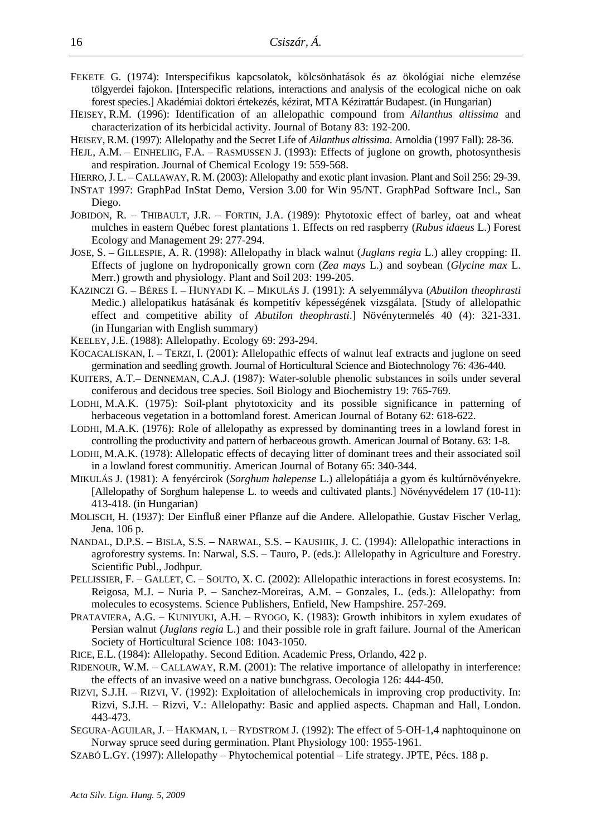- FEKETE G. (1974): Interspecifikus kapcsolatok, kölcsönhatások és az ökológiai niche elemzése tölgyerdei fajokon. [Interspecific relations, interactions and analysis of the ecological niche on oak forest species.] Akadémiai doktori értekezés, kézirat, MTA Kézirattár Budapest. (in Hungarian)
- HEISEY, R.M. (1996): Identification of an allelopathic compound from *Ailanthus altissima* and characterization of its herbicidal activity. Journal of Botany 83: 192-200.
- HEISEY, R.M. (1997): Allelopathy and the Secret Life of *Ailanthus altissima*. Arnoldia (1997 Fall): 28-36.
- HEJL, A.M. EINHELIIG, F.A. RASMUSSEN J. (1993): Effects of juglone on growth, photosynthesis and respiration. Journal of Chemical Ecology 19: 559-568.
- HIERRO, J. L. CALLAWAY, R. M. (2003): Allelopathy and exotic plant invasion. Plant and Soil 256: 29-39.
- INSTAT 1997: GraphPad InStat Demo, Version 3.00 for Win 95/NT. GraphPad Software Incl., San Diego.
- JOBIDON, R. THIBAULT, J.R. FORTIN, J.A. (1989): Phytotoxic effect of barley, oat and wheat mulches in eastern Québec forest plantations 1. Effects on red raspberry (*Rubus idaeus* L.) Forest Ecology and Management 29: 277-294.
- JOSE, S. GILLESPIE, A. R. (1998): Allelopathy in black walnut (*Juglans regia* L.) alley cropping: II. Effects of juglone on hydroponically grown corn (*Zea mays* L.) and soybean (*Glycine max* L. Merr.) growth and physiology. Plant and Soil 203: 199-205.
- KAZINCZI G. BÉRES I. HUNYADI K. MIKULÁS J. (1991): A selyemmályva (*Abutilon theophrasti* Medic.) allelopatikus hatásának és kompetitív képességének vizsgálata. [Study of allelopathic effect and competitive ability of *Abutilon theophrasti*.] Növénytermelés 40 (4): 321-331. (in Hungarian with English summary)
- KEELEY, J.E. (1988): Allelopathy. Ecology 69: 293-294.
- KOCACALISKAN, I. TERZI, I. (2001): Allelopathic effects of walnut leaf extracts and juglone on seed germination and seedling growth. Journal of Horticultural Science and Biotechnology 76: 436-440.
- KUITERS, A.T.– DENNEMAN, C.A.J. (1987): Water-soluble phenolic substances in soils under several coniferous and decidous tree species. Soil Biology and Biochemistry 19: 765-769.
- LODHI, M.A.K. (1975): Soil-plant phytotoxicity and its possible significance in patterning of herbaceous vegetation in a bottomland forest. American Journal of Botany 62: 618-622.
- LODHI, M.A.K. (1976): Role of allelopathy as expressed by dominanting trees in a lowland forest in controlling the productivity and pattern of herbaceous growth. American Journal of Botany. 63: 1-8.
- LODHI, M.A.K. (1978): Allelopatic effects of decaying litter of dominant trees and their associated soil in a lowland forest communitiy. American Journal of Botany 65: 340-344.
- MIKULÁS J. (1981): A fenyércirok (*Sorghum halepense* L.) allelopátiája a gyom és kultúrnövényekre. [Allelopathy of Sorghum halepense L. to weeds and cultivated plants.] Növényvédelem 17 (10-11): 413-418. (in Hungarian)
- MOLISCH, H. (1937): Der Einfluß einer Pflanze auf die Andere. Allelopathie. Gustav Fischer Verlag, Jena. 106 p.
- NANDAL, D.P.S. BISLA, S.S. NARWAL, S.S. KAUSHIK, J. C. (1994): Allelopathic interactions in agroforestry systems. In: Narwal, S.S. – Tauro, P. (eds.): Allelopathy in Agriculture and Forestry. Scientific Publ., Jodhpur.
- PELLISSIER, F. GALLET, C. SOUTO, X. C. (2002): Allelopathic interactions in forest ecosystems. In: Reigosa, M.J. – Nuria P. – Sanchez-Moreiras, A.M. – Gonzales, L. (eds.): Allelopathy: from molecules to ecosystems. Science Publishers, Enfield, New Hampshire. 257-269.
- PRATAVIERA, A.G. KUNIYUKI, A.H. RYOGO, K. (1983): Growth inhibitors in xylem exudates of Persian walnut (*Juglans regia* L.) and their possible role in graft failure. Journal of the American Society of Horticultural Science 108: 1043-1050.
- RICE, E.L. (1984): Allelopathy. Second Edition. Academic Press, Orlando, 422 p.
- RIDENOUR, W.M. CALLAWAY, R.M. (2001): The relative importance of allelopathy in interference: the effects of an invasive weed on a native bunchgrass. Oecologia 126: 444-450.
- RIZVI, S.J.H. RIZVI, V. (1992): Exploitation of allelochemicals in improving crop productivity. In: Rizvi, S.J.H. – Rizvi, V.: Allelopathy: Basic and applied aspects. Chapman and Hall, London. 443-473.
- SEGURA-AGUILAR, J. HAKMAN, I. RYDSTROM J. (1992): The effect of 5-OH-1,4 naphtoquinone on Norway spruce seed during germination. Plant Physiology 100: 1955-1961.
- SZABÓ L.GY. (1997): Allelopathy Phytochemical potential Life strategy. JPTE, Pécs. 188 p.